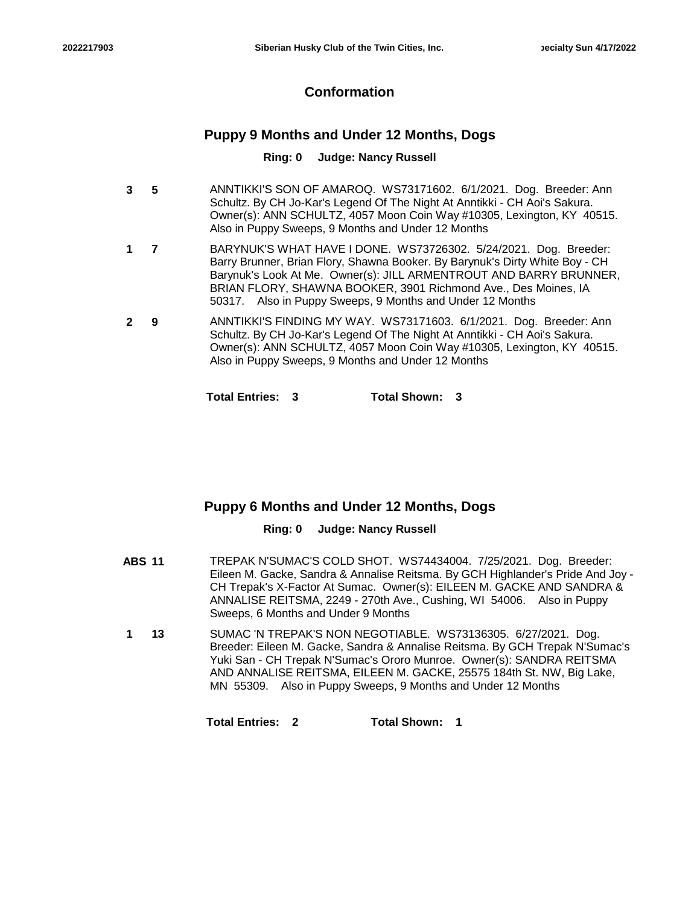# **Conformation**

# **Puppy 9 Months and Under 12 Months, Dogs**

### **Ring: 0 Judge: Nancy Russell**

- **5** ANNTIKKI'S SON OF AMAROQ. WS73171602. 6/1/2021. Dog. Breeder: Ann Schultz. By CH Jo-Kar's Legend Of The Night At Anntikki - CH Aoi's Sakura. Owner(s): ANN SCHULTZ, 4057 Moon Coin Way #10305, Lexington, KY 40515. Also in Puppy Sweeps, 9 Months and Under 12 Months **3**
- **7** BARYNUK'S WHAT HAVE I DONE. WS73726302. 5/24/2021. Dog. Breeder: Barry Brunner, Brian Flory, Shawna Booker. By Barynuk's Dirty White Boy - CH Barynuk's Look At Me. Owner(s): JILL ARMENTROUT AND BARRY BRUNNER, BRIAN FLORY, SHAWNA BOOKER, 3901 Richmond Ave., Des Moines, IA 50317. Also in Puppy Sweeps, 9 Months and Under 12 Months **1**
- **9** ANNTIKKI'S FINDING MY WAY. WS73171603. 6/1/2021. Dog. Breeder: Ann Schultz. By CH Jo-Kar's Legend Of The Night At Anntikki - CH Aoi's Sakura. Owner(s): ANN SCHULTZ, 4057 Moon Coin Way #10305, Lexington, KY 40515. Also in Puppy Sweeps, 9 Months and Under 12 Months **2**

**Total Entries: 3 Total Shown: 3**

# **Puppy 6 Months and Under 12 Months, Dogs**

### **Ring: 0 Judge: Nancy Russell**

- **ABS 11** TREPAK N'SUMAC'S COLD SHOT. WS74434004. 7/25/2021. Dog. Breeder: Eileen M. Gacke, Sandra & Annalise Reitsma. By GCH Highlander's Pride And Joy - CH Trepak's X-Factor At Sumac. Owner(s): EILEEN M. GACKE AND SANDRA & ANNALISE REITSMA, 2249 - 270th Ave., Cushing, WI 54006. Also in Puppy Sweeps, 6 Months and Under 9 Months
- **13** SUMAC 'N TREPAK'S NON NEGOTIABLE. WS73136305. 6/27/2021. Dog. Breeder: Eileen M. Gacke, Sandra & Annalise Reitsma. By GCH Trepak N'Sumac's Yuki San - CH Trepak N'Sumac's Ororo Munroe. Owner(s): SANDRA REITSMA AND ANNALISE REITSMA, EILEEN M. GACKE, 25575 184th St. NW, Big Lake, MN 55309. Also in Puppy Sweeps, 9 Months and Under 12 Months **1**

**Total Entries: 2 Total Shown: 1**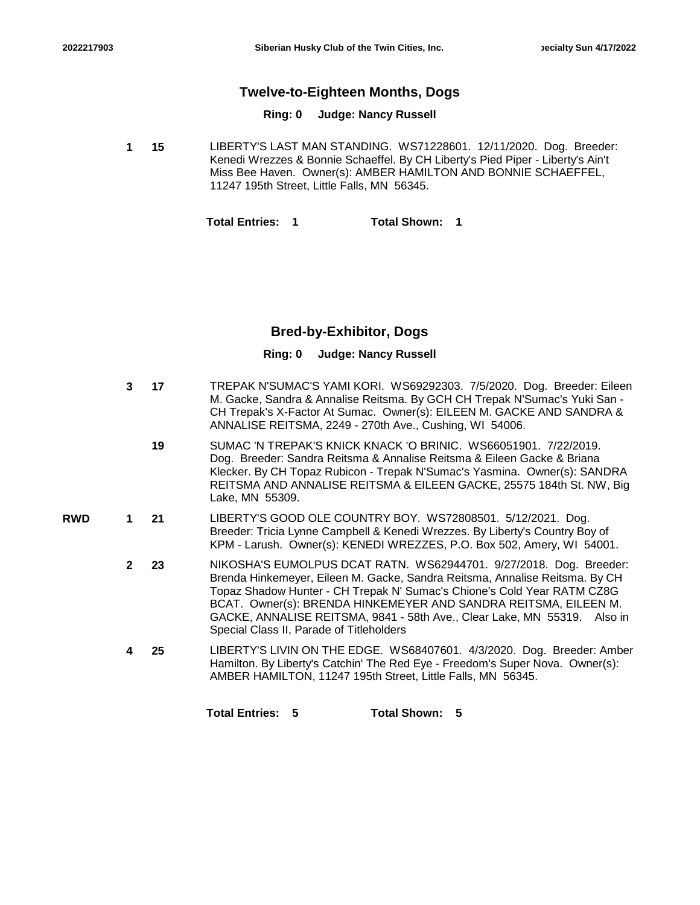## **Twelve-to-Eighteen Months, Dogs**

#### **Ring: 0 Judge: Nancy Russell**

**15** LIBERTY'S LAST MAN STANDING. WS71228601. 12/11/2020. Dog. Breeder: Kenedi Wrezzes & Bonnie Schaeffel. By CH Liberty's Pied Piper - Liberty's Ain't Miss Bee Haven. Owner(s): AMBER HAMILTON AND BONNIE SCHAEFFEL, 11247 195th Street, Little Falls, MN 56345. **1**

**Total Entries: 1 Total Shown: 1**

## **Bred-by-Exhibitor, Dogs**

|            | 3            | 17 | TREPAK N'SUMAC'S YAMI KORI. WS69292303. 7/5/2020. Dog. Breeder: Eileen<br>M. Gacke, Sandra & Annalise Reitsma. By GCH CH Trepak N'Sumac's Yuki San -<br>CH Trepak's X-Factor At Sumac. Owner(s): EILEEN M. GACKE AND SANDRA &<br>ANNALISE REITSMA, 2249 - 270th Ave., Cushing, WI 54006.                                                                                                                                |
|------------|--------------|----|-------------------------------------------------------------------------------------------------------------------------------------------------------------------------------------------------------------------------------------------------------------------------------------------------------------------------------------------------------------------------------------------------------------------------|
|            |              | 19 | SUMAC 'N TREPAK'S KNICK KNACK 'O BRINIC. WS66051901. 7/22/2019.<br>Dog. Breeder: Sandra Reitsma & Annalise Reitsma & Eileen Gacke & Briana<br>Klecker. By CH Topaz Rubicon - Trepak N'Sumac's Yasmina. Owner(s): SANDRA<br>REITSMA AND ANNALISE REITSMA & EILEEN GACKE, 25575 184th St. NW, Big<br>Lake, MN 55309.                                                                                                      |
| <b>RWD</b> | 1            | 21 | LIBERTY'S GOOD OLE COUNTRY BOY. WS72808501. 5/12/2021. Dog.<br>Breeder: Tricia Lynne Campbell & Kenedi Wrezzes. By Liberty's Country Boy of<br>KPM - Larush. Owner(s): KENEDI WREZZES, P.O. Box 502, Amery, WI 54001.                                                                                                                                                                                                   |
|            | $\mathbf{2}$ | 23 | NIKOSHA'S EUMOLPUS DCAT RATN. WS62944701. 9/27/2018. Dog. Breeder:<br>Brenda Hinkemeyer, Eileen M. Gacke, Sandra Reitsma, Annalise Reitsma. By CH<br>Topaz Shadow Hunter - CH Trepak N' Sumac's Chione's Cold Year RATM CZ8G<br>BCAT. Owner(s): BRENDA HINKEMEYER AND SANDRA REITSMA, EILEEN M.<br>GACKE, ANNALISE REITSMA, 9841 - 58th Ave., Clear Lake, MN 55319. Also in<br>Special Class II, Parade of Titleholders |
|            | 4            | 25 | LIBERTY'S LIVIN ON THE EDGE. WS68407601. 4/3/2020. Dog. Breeder: Amber<br>Hamilton. By Liberty's Catchin' The Red Eye - Freedom's Super Nova. Owner(s):<br>AMBER HAMILTON, 11247 195th Street, Little Falls, MN 56345.                                                                                                                                                                                                  |
|            |              |    | <b>Total Entries:</b><br><b>Total Shown:</b><br>5<br>-5                                                                                                                                                                                                                                                                                                                                                                 |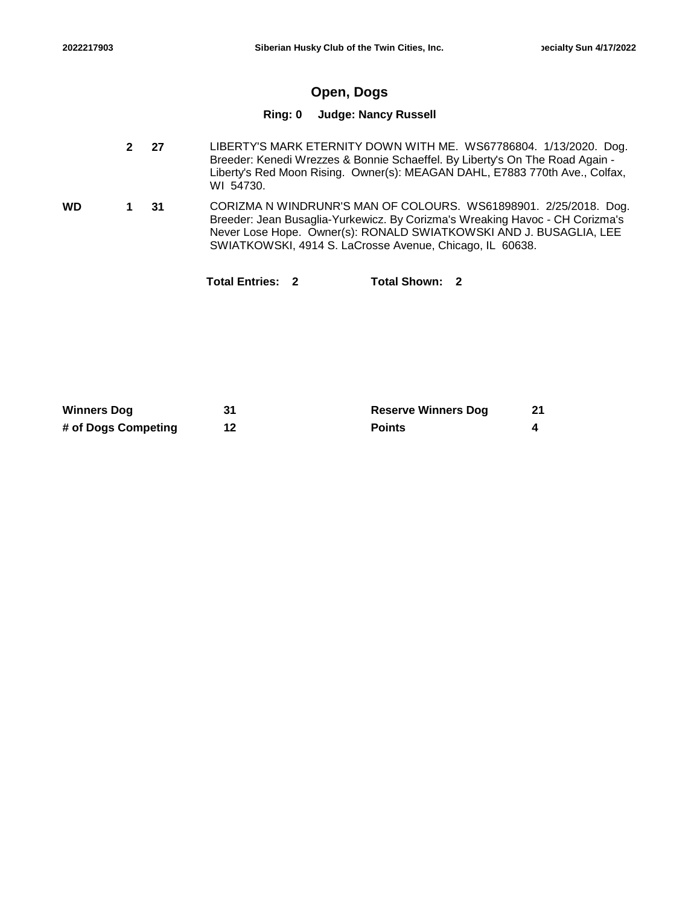# **Open, Dogs**

### **Ring: 0 Judge: Nancy Russell**

|  | $2 \overline{27}$ | LIBERTY'S MARK ETERNITY DOWN WITH ME. WS67786804. 1/13/2020. Dog.<br>Breeder: Kenedi Wrezzes & Bonnie Schaeffel. By Liberty's On The Road Again -<br>Liberty's Red Moon Rising. Owner(s): MEAGAN DAHL, E7883 770th Ave., Colfax,<br>WI 54730. |
|--|-------------------|-----------------------------------------------------------------------------------------------------------------------------------------------------------------------------------------------------------------------------------------------|
|  | 1 31              | CORIZMA N WINDRUNR'S MAN OF COLOURS. WS61898901. 2/25/2018. Dog.                                                                                                                                                                              |

**31** CORIZMA N WINDRUNR'S MAN OF COLOURS. WS61898901. 2/25/2018. Dog. Breeder: Jean Busaglia-Yurkewicz. By Corizma's Wreaking Havoc - CH Corizma's Never Lose Hope. Owner(s): RONALD SWIATKOWSKI AND J. BUSAGLIA, LEE SWIATKOWSKI, 4914 S. LaCrosse Avenue, Chicago, IL 60638. **WD 1**

| Total Entries: 2 | Total Shown: | - 2 |
|------------------|--------------|-----|
|------------------|--------------|-----|

| <b>Winners Dog</b>  | <b>Reserve Winners Dog</b> | 21 |
|---------------------|----------------------------|----|
| # of Dogs Competing | <b>Points</b>              |    |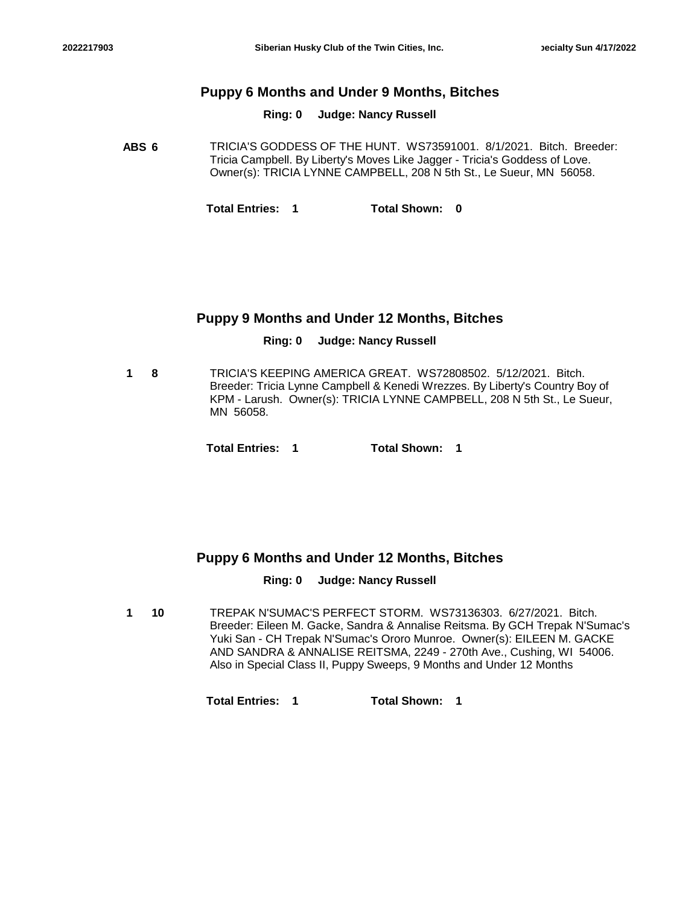## **Puppy 6 Months and Under 9 Months, Bitches**

**Ring: 0 Judge: Nancy Russell**

**ABS 6** TRICIA'S GODDESS OF THE HUNT. WS73591001. 8/1/2021. Bitch. Breeder: Tricia Campbell. By Liberty's Moves Like Jagger - Tricia's Goddess of Love. Owner(s): TRICIA LYNNE CAMPBELL, 208 N 5th St., Le Sueur, MN 56058.

**Total Entries: 1 Total Shown: 0**

## **Puppy 9 Months and Under 12 Months, Bitches**

### **Ring: 0 Judge: Nancy Russell**

**8** TRICIA'S KEEPING AMERICA GREAT. WS72808502. 5/12/2021. Bitch. Breeder: Tricia Lynne Campbell & Kenedi Wrezzes. By Liberty's Country Boy of KPM - Larush. Owner(s): TRICIA LYNNE CAMPBELL, 208 N 5th St., Le Sueur, MN 56058. **1**

**Total Entries: 1 Total Shown: 1**

## **Puppy 6 Months and Under 12 Months, Bitches**

### **Ring: 0 Judge: Nancy Russell**

**10** TREPAK N'SUMAC'S PERFECT STORM. WS73136303. 6/27/2021. Bitch. Breeder: Eileen M. Gacke, Sandra & Annalise Reitsma. By GCH Trepak N'Sumac's Yuki San - CH Trepak N'Sumac's Ororo Munroe. Owner(s): EILEEN M. GACKE AND SANDRA & ANNALISE REITSMA, 2249 - 270th Ave., Cushing, WI 54006. Also in Special Class II, Puppy Sweeps, 9 Months and Under 12 Months **1**

**Total Entries: 1 Total Shown: 1**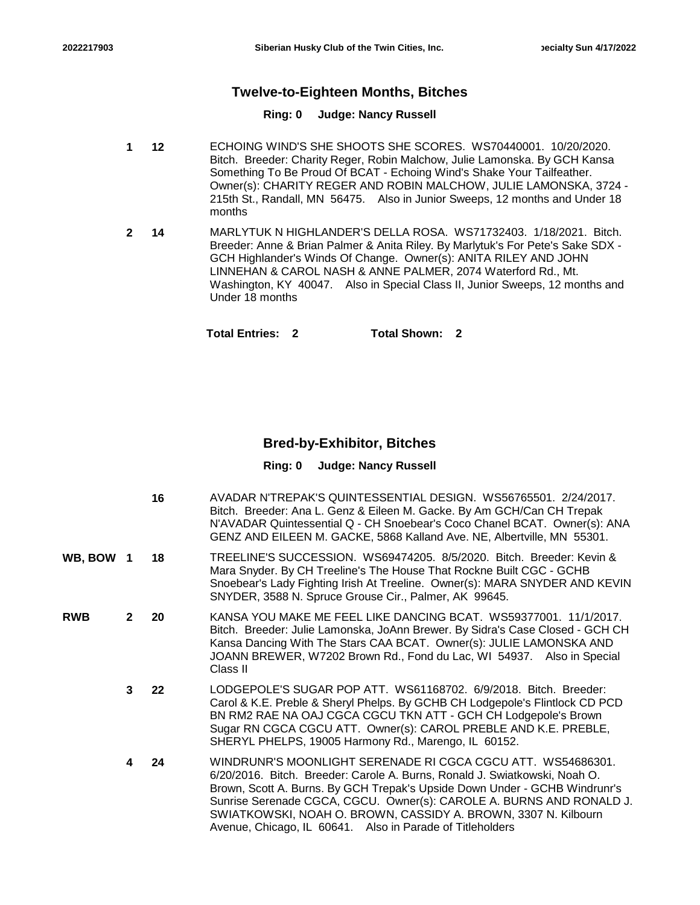## **Twelve-to-Eighteen Months, Bitches**

### **Ring: 0 Judge: Nancy Russell**

- **12** ECHOING WIND'S SHE SHOOTS SHE SCORES. WS70440001. 10/20/2020. Bitch. Breeder: Charity Reger, Robin Malchow, Julie Lamonska. By GCH Kansa Something To Be Proud Of BCAT - Echoing Wind's Shake Your Tailfeather. Owner(s): CHARITY REGER AND ROBIN MALCHOW, JULIE LAMONSKA, 3724 - 215th St., Randall, MN 56475. Also in Junior Sweeps, 12 months and Under 18 months **1**
- **14** MARLYTUK N HIGHLANDER'S DELLA ROSA. WS71732403. 1/18/2021. Bitch. Breeder: Anne & Brian Palmer & Anita Riley. By Marlytuk's For Pete's Sake SDX - GCH Highlander's Winds Of Change. Owner(s): ANITA RILEY AND JOHN LINNEHAN & CAROL NASH & ANNE PALMER, 2074 Waterford Rd., Mt. Washington, KY 40047. Also in Special Class II, Junior Sweeps, 12 months and Under 18 months **2**

**Total Entries: 2 Total Shown: 2**

## **Bred-by-Exhibitor, Bitches**

|         |              | 16 | AVADAR N'TREPAK'S QUINTESSENTIAL DESIGN. WS56765501. 2/24/2017.<br>Bitch. Breeder: Ana L. Genz & Eileen M. Gacke. By Am GCH/Can CH Trepak<br>N'AVADAR Quintessential Q - CH Snoebear's Coco Chanel BCAT. Owner(s): ANA<br>GENZ AND EILEEN M. GACKE, 5868 Kalland Ave. NE, Albertville, MN 55301.                                                                                                                               |
|---------|--------------|----|--------------------------------------------------------------------------------------------------------------------------------------------------------------------------------------------------------------------------------------------------------------------------------------------------------------------------------------------------------------------------------------------------------------------------------|
| WB. BOW | -1           | 18 | TREELINE'S SUCCESSION. WS69474205. 8/5/2020. Bitch. Breeder: Kevin &<br>Mara Snyder. By CH Treeline's The House That Rockne Built CGC - GCHB<br>Snoebear's Lady Fighting Irish At Treeline. Owner(s): MARA SNYDER AND KEVIN<br>SNYDER, 3588 N. Spruce Grouse Cir., Palmer, AK 99645.                                                                                                                                           |
| RWB     | $\mathbf{2}$ | 20 | KANSA YOU MAKE ME FEEL LIKE DANCING BCAT. WS59377001. 11/1/2017.<br>Bitch. Breeder: Julie Lamonska, JoAnn Brewer. By Sidra's Case Closed - GCH CH<br>Kansa Dancing With The Stars CAA BCAT. Owner(s): JULIE LAMONSKA AND<br>JOANN BREWER, W7202 Brown Rd., Fond du Lac, WI 54937. Also in Special<br>Class II                                                                                                                  |
|         | 3            | 22 | LODGEPOLE'S SUGAR POP ATT. WS61168702. 6/9/2018. Bitch. Breeder:<br>Carol & K.E. Preble & Sheryl Phelps. By GCHB CH Lodgepole's Flintlock CD PCD<br>BN RM2 RAE NA OAJ CGCA CGCU TKN ATT - GCH CH Lodgepole's Brown<br>Sugar RN CGCA CGCU ATT. Owner(s): CAROL PREBLE AND K.E. PREBLE,<br>SHERYL PHELPS, 19005 Harmony Rd., Marengo, IL 60152.                                                                                  |
|         | 4            | 24 | WINDRUNR'S MOONLIGHT SERENADE RI CGCA CGCU ATT. WS54686301.<br>6/20/2016. Bitch. Breeder: Carole A. Burns, Ronald J. Swiatkowski, Noah O.<br>Brown, Scott A. Burns. By GCH Trepak's Upside Down Under - GCHB Windrunr's<br>Sunrise Serenade CGCA, CGCU. Owner(s): CAROLE A. BURNS AND RONALD J.<br>SWIATKOWSKI, NOAH O. BROWN, CASSIDY A. BROWN, 3307 N. Kilbourn<br>Avenue, Chicago, IL 60641. Also in Parade of Titleholders |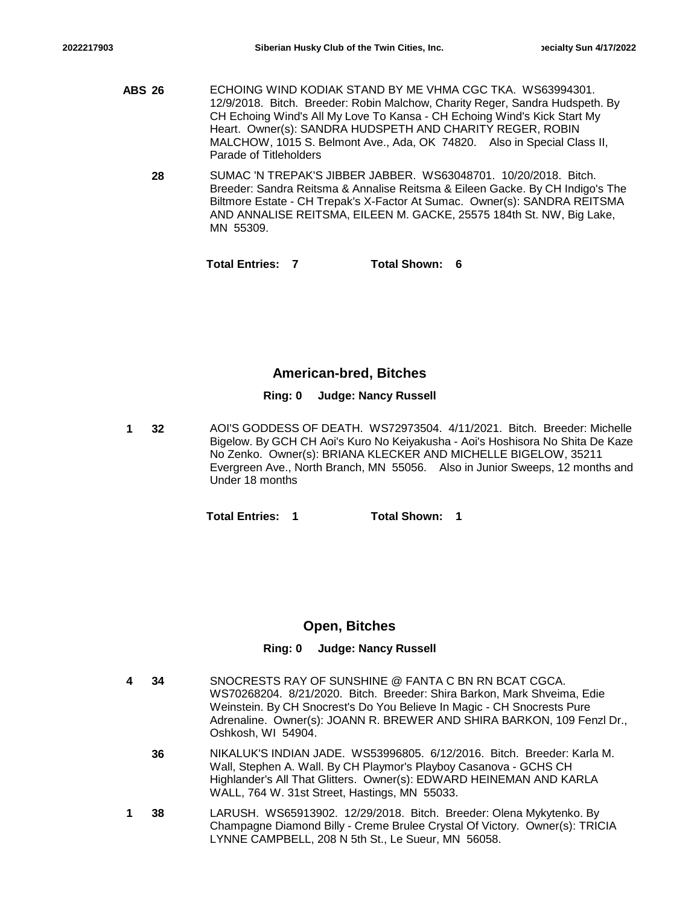- **ABS 26** ECHOING WIND KODIAK STAND BY ME VHMA CGC TKA. WS63994301. 12/9/2018. Bitch. Breeder: Robin Malchow, Charity Reger, Sandra Hudspeth. By CH Echoing Wind's All My Love To Kansa - CH Echoing Wind's Kick Start My Heart. Owner(s): SANDRA HUDSPETH AND CHARITY REGER, ROBIN MALCHOW, 1015 S. Belmont Ave., Ada, OK 74820. Also in Special Class II, Parade of Titleholders
	- **28** SUMAC 'N TREPAK'S JIBBER JABBER. WS63048701. 10/20/2018. Bitch. Breeder: Sandra Reitsma & Annalise Reitsma & Eileen Gacke. By CH Indigo's The Biltmore Estate - CH Trepak's X-Factor At Sumac. Owner(s): SANDRA REITSMA AND ANNALISE REITSMA, EILEEN M. GACKE, 25575 184th St. NW, Big Lake, MN 55309.

**Total Entries: 7 Total Shown: 6**

## **American-bred, Bitches**

### **Ring: 0 Judge: Nancy Russell**

**32** AOI'S GODDESS OF DEATH. WS72973504. 4/11/2021. Bitch. Breeder: Michelle Bigelow. By GCH CH Aoi's Kuro No Keiyakusha - Aoi's Hoshisora No Shita De Kaze No Zenko. Owner(s): BRIANA KLECKER AND MICHELLE BIGELOW, 35211 Evergreen Ave., North Branch, MN 55056. Also in Junior Sweeps, 12 months and Under 18 months **1**

**Total Entries: 1 Total Shown: 1**

# **Open, Bitches**

| 4 | 34 | SNOCRESTS RAY OF SUNSHINE @ FANTA C BN RN BCAT CGCA.<br>WS70268204. 8/21/2020. Bitch. Breeder: Shira Barkon, Mark Shveima, Edie<br>Weinstein. By CH Snocrest's Do You Believe In Magic - CH Snocrests Pure                                                          |
|---|----|---------------------------------------------------------------------------------------------------------------------------------------------------------------------------------------------------------------------------------------------------------------------|
|   |    | Adrenaline. Owner(s): JOANN R. BREWER AND SHIRA BARKON, 109 Fenzl Dr.,<br>Oshkosh, WI 54904.                                                                                                                                                                        |
|   | 36 | NIKALUK'S INDIAN JADE. WS53996805. 6/12/2016. Bitch. Breeder: Karla M.<br>Wall, Stephen A. Wall. By CH Playmor's Playboy Casanova - GCHS CH<br>Highlander's All That Glitters. Owner(s): EDWARD HEINEMAN AND KARLA<br>WALL, 764 W. 31st Street, Hastings, MN 55033. |
|   | 38 | LARUSH. WS65913902. 12/29/2018. Bitch. Breeder: Olena Mykytenko. By<br>Champagne Diamond Billy - Creme Brulee Crystal Of Victory. Owner(s): TRICIA<br>LYNNE CAMPBELL, 208 N 5th St., Le Sueur, MN 56058.                                                            |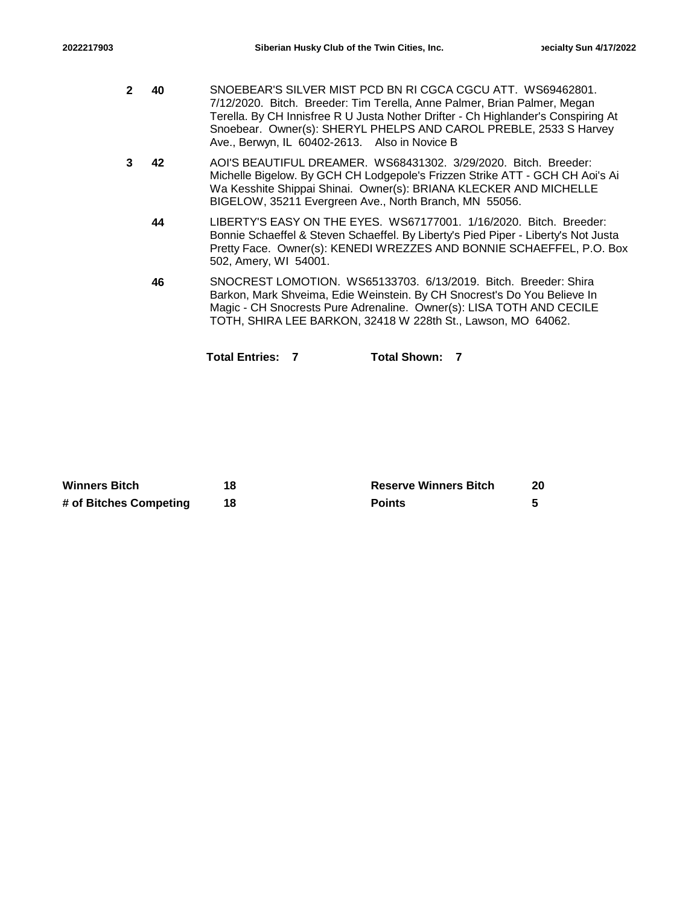- **40** SNOEBEAR'S SILVER MIST PCD BN RI CGCA CGCU ATT. WS69462801. 7/12/2020. Bitch. Breeder: Tim Terella, Anne Palmer, Brian Palmer, Megan Terella. By CH Innisfree R U Justa Nother Drifter - Ch Highlander's Conspiring At Snoebear. Owner(s): SHERYL PHELPS AND CAROL PREBLE, 2533 S Harvey Ave., Berwyn, IL 60402-2613. Also in Novice B **2**
- **42** AOI'S BEAUTIFUL DREAMER. WS68431302. 3/29/2020. Bitch. Breeder: Michelle Bigelow. By GCH CH Lodgepole's Frizzen Strike ATT - GCH CH Aoi's Ai Wa Kesshite Shippai Shinai. Owner(s): BRIANA KLECKER AND MICHELLE BIGELOW, 35211 Evergreen Ave., North Branch, MN 55056. **3**
	- **44** LIBERTY'S EASY ON THE EYES. WS67177001. 1/16/2020. Bitch. Breeder: Bonnie Schaeffel & Steven Schaeffel. By Liberty's Pied Piper - Liberty's Not Justa Pretty Face. Owner(s): KENEDI WREZZES AND BONNIE SCHAEFFEL, P.O. Box 502, Amery, WI 54001.
	- **46** SNOCREST LOMOTION. WS65133703. 6/13/2019. Bitch. Breeder: Shira Barkon, Mark Shveima, Edie Weinstein. By CH Snocrest's Do You Believe In Magic - CH Snocrests Pure Adrenaline. Owner(s): LISA TOTH AND CECILE TOTH, SHIRA LEE BARKON, 32418 W 228th St., Lawson, MO 64062.

**Total Entries: 7 Total Shown: 7**

| <b>Winners Bitch</b>   | 18 | <b>Reserve Winners Bitch</b> | 20 |
|------------------------|----|------------------------------|----|
| # of Bitches Competing |    | <b>Points</b>                |    |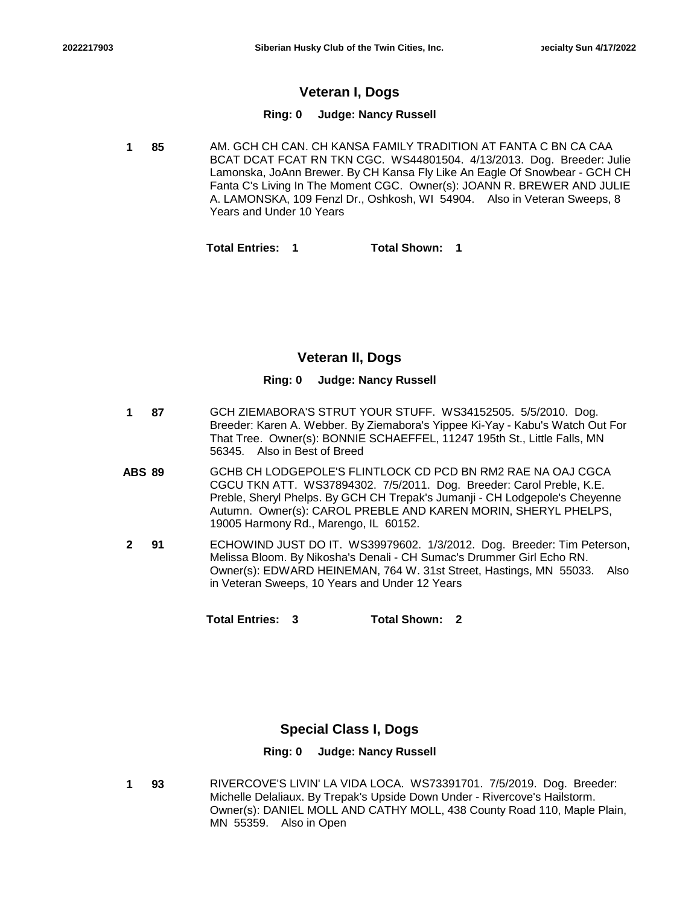# **Veteran I, Dogs**

### **Ring: 0 Judge: Nancy Russell**

**85** AM. GCH CH CAN. CH KANSA FAMILY TRADITION AT FANTA C BN CA CAA BCAT DCAT FCAT RN TKN CGC. WS44801504. 4/13/2013. Dog. Breeder: Julie Lamonska, JoAnn Brewer. By CH Kansa Fly Like An Eagle Of Snowbear - GCH CH Fanta C's Living In The Moment CGC. Owner(s): JOANN R. BREWER AND JULIE A. LAMONSKA, 109 Fenzl Dr., Oshkosh, WI 54904. Also in Veteran Sweeps, 8 Years and Under 10 Years **1**

**Total Entries: 1 Total Shown: 1**

## **Veteran II, Dogs**

### **Ring: 0 Judge: Nancy Russell**

- **87** GCH ZIEMABORA'S STRUT YOUR STUFF. WS34152505. 5/5/2010. Dog. Breeder: Karen A. Webber. By Ziemabora's Yippee Ki-Yay - Kabu's Watch Out For That Tree. Owner(s): BONNIE SCHAEFFEL, 11247 195th St., Little Falls, MN 56345. Also in Best of Breed **1**
- **ABS 89** GCHB CH LODGEPOLE'S FLINTLOCK CD PCD BN RM2 RAE NA OAJ CGCA CGCU TKN ATT. WS37894302. 7/5/2011. Dog. Breeder: Carol Preble, K.E. Preble, Sheryl Phelps. By GCH CH Trepak's Jumanji - CH Lodgepole's Cheyenne Autumn. Owner(s): CAROL PREBLE AND KAREN MORIN, SHERYL PHELPS, 19005 Harmony Rd., Marengo, IL 60152.
- **91** ECHOWIND JUST DO IT. WS39979602. 1/3/2012. Dog. Breeder: Tim Peterson, Melissa Bloom. By Nikosha's Denali - CH Sumac's Drummer Girl Echo RN. Owner(s): EDWARD HEINEMAN, 764 W. 31st Street, Hastings, MN 55033. Also in Veteran Sweeps, 10 Years and Under 12 Years **2**

**Total Entries: 3 Total Shown: 2**

## **Special Class I, Dogs**

### **Ring: 0 Judge: Nancy Russell**

**93** RIVERCOVE'S LIVIN' LA VIDA LOCA. WS73391701. 7/5/2019. Dog. Breeder: Michelle Delaliaux. By Trepak's Upside Down Under - Rivercove's Hailstorm. Owner(s): DANIEL MOLL AND CATHY MOLL, 438 County Road 110, Maple Plain, MN 55359. Also in Open **1**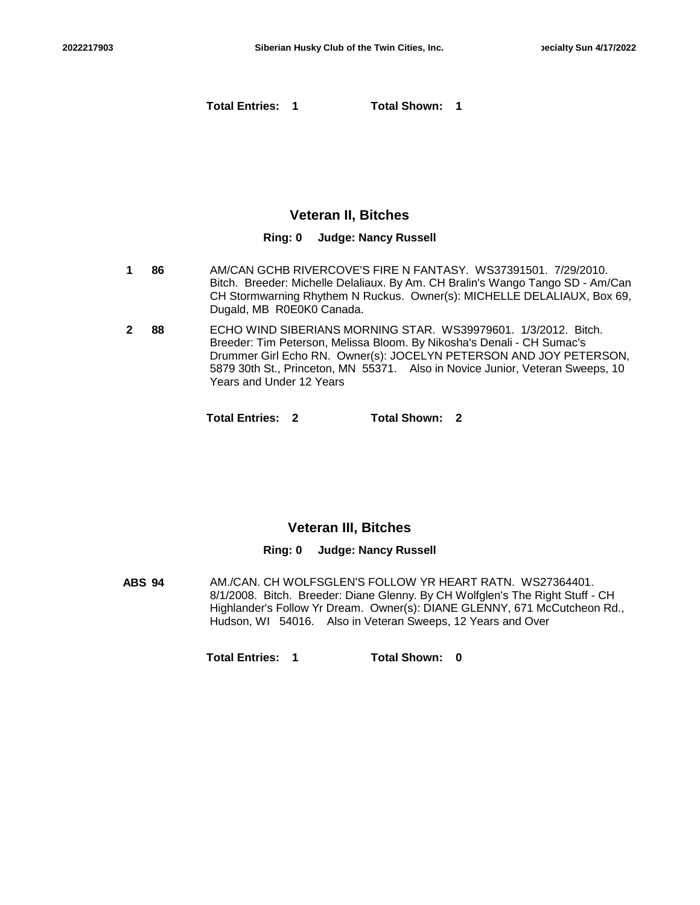**Total Entries: 1 Total Shown: 1**

## **Veteran II, Bitches**

#### **Ring: 0 Judge: Nancy Russell**

- **86** AM/CAN GCHB RIVERCOVE'S FIRE N FANTASY. WS37391501. 7/29/2010. Bitch. Breeder: Michelle Delaliaux. By Am. CH Bralin's Wango Tango SD - Am/Can CH Stormwarning Rhythem N Ruckus. Owner(s): MICHELLE DELALIAUX, Box 69, Dugald, MB R0E0K0 Canada. **1**
- **88** ECHO WIND SIBERIANS MORNING STAR. WS39979601. 1/3/2012. Bitch. Breeder: Tim Peterson, Melissa Bloom. By Nikosha's Denali - CH Sumac's Drummer Girl Echo RN. Owner(s): JOCELYN PETERSON AND JOY PETERSON, 5879 30th St., Princeton, MN 55371. Also in Novice Junior, Veteran Sweeps, 10 Years and Under 12 Years **2**

**Total Entries: 2 Total Shown: 2**

### **Veteran III, Bitches**

### **Ring: 0 Judge: Nancy Russell**

**ABS 94** AM./CAN. CH WOLFSGLEN'S FOLLOW YR HEART RATN. WS27364401. 8/1/2008. Bitch. Breeder: Diane Glenny. By CH Wolfglen's The Right Stuff - CH Highlander's Follow Yr Dream. Owner(s): DIANE GLENNY, 671 McCutcheon Rd., Hudson, WI 54016. Also in Veteran Sweeps, 12 Years and Over

**Total Entries: 1 Total Shown: 0**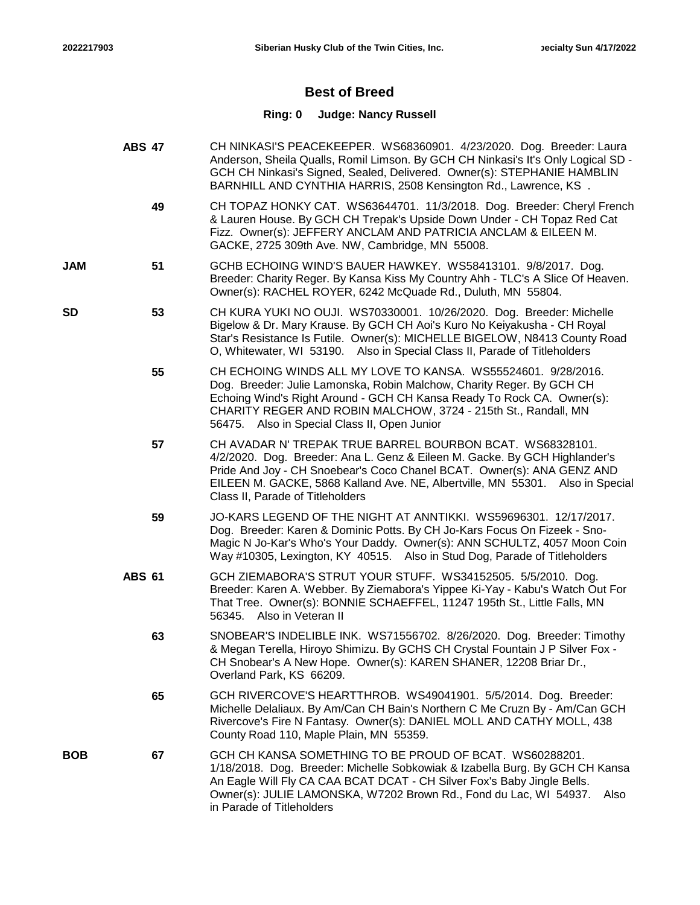**SD**

### **Best of Breed**

- **ABS 47** CH NINKASI'S PEACEKEEPER. WS68360901. 4/23/2020. Dog. Breeder: Laura Anderson, Sheila Qualls, Romil Limson. By GCH CH Ninkasi's It's Only Logical SD - GCH CH Ninkasi's Signed, Sealed, Delivered. Owner(s): STEPHANIE HAMBLIN BARNHILL AND CYNTHIA HARRIS, 2508 Kensington Rd., Lawrence, KS .
	- **49** CH TOPAZ HONKY CAT. WS63644701. 11/3/2018. Dog. Breeder: Cheryl French & Lauren House. By GCH CH Trepak's Upside Down Under - CH Topaz Red Cat Fizz. Owner(s): JEFFERY ANCLAM AND PATRICIA ANCLAM & EILEEN M. GACKE, 2725 309th Ave. NW, Cambridge, MN 55008.
- **51** GCHB ECHOING WIND'S BAUER HAWKEY. WS58413101. 9/8/2017. Dog. Breeder: Charity Reger. By Kansa Kiss My Country Ahh - TLC's A Slice Of Heaven. Owner(s): RACHEL ROYER, 6242 McQuade Rd., Duluth, MN 55804. **JAM**
	- **53** CH KURA YUKI NO OUJI. WS70330001. 10/26/2020. Dog. Breeder: Michelle Bigelow & Dr. Mary Krause. By GCH CH Aoi's Kuro No Keiyakusha - CH Royal Star's Resistance Is Futile. Owner(s): MICHELLE BIGELOW, N8413 County Road O, Whitewater, WI 53190. Also in Special Class II, Parade of Titleholders
		- **55** CH ECHOING WINDS ALL MY LOVE TO KANSA. WS55524601. 9/28/2016. Dog. Breeder: Julie Lamonska, Robin Malchow, Charity Reger. By GCH CH Echoing Wind's Right Around - GCH CH Kansa Ready To Rock CA. Owner(s): CHARITY REGER AND ROBIN MALCHOW, 3724 - 215th St., Randall, MN 56475. Also in Special Class II, Open Junior
		- **57** CH AVADAR N' TREPAK TRUE BARREL BOURBON BCAT. WS68328101. 4/2/2020. Dog. Breeder: Ana L. Genz & Eileen M. Gacke. By GCH Highlander's Pride And Joy - CH Snoebear's Coco Chanel BCAT. Owner(s): ANA GENZ AND EILEEN M. GACKE, 5868 Kalland Ave. NE, Albertville, MN 55301. Also in Special Class II, Parade of Titleholders
		- **59** JO-KARS LEGEND OF THE NIGHT AT ANNTIKKI. WS59696301. 12/17/2017. Dog. Breeder: Karen & Dominic Potts. By CH Jo-Kars Focus On Fizeek - Sno-Magic N Jo-Kar's Who's Your Daddy. Owner(s): ANN SCHULTZ, 4057 Moon Coin Way #10305, Lexington, KY 40515. Also in Stud Dog, Parade of Titleholders
		- **ABS 61** GCH ZIEMABORA'S STRUT YOUR STUFF. WS34152505. 5/5/2010. Dog. Breeder: Karen A. Webber. By Ziemabora's Yippee Ki-Yay - Kabu's Watch Out For That Tree. Owner(s): BONNIE SCHAEFFEL, 11247 195th St., Little Falls, MN 56345. Also in Veteran II
			- **63** SNOBEAR'S INDELIBLE INK. WS71556702. 8/26/2020. Dog. Breeder: Timothy & Megan Terella, Hiroyo Shimizu. By GCHS CH Crystal Fountain J P Silver Fox - CH Snobear's A New Hope. Owner(s): KAREN SHANER, 12208 Briar Dr., Overland Park, KS 66209.
			- **65** GCH RIVERCOVE'S HEARTTHROB. WS49041901. 5/5/2014. Dog. Breeder: Michelle Delaliaux. By Am/Can CH Bain's Northern C Me Cruzn By - Am/Can GCH Rivercove's Fire N Fantasy. Owner(s): DANIEL MOLL AND CATHY MOLL, 438 County Road 110, Maple Plain, MN 55359.
- **67** GCH CH KANSA SOMETHING TO BE PROUD OF BCAT. WS60288201. 1/18/2018. Dog. Breeder: Michelle Sobkowiak & Izabella Burg. By GCH CH Kansa An Eagle Will Fly CA CAA BCAT DCAT - CH Silver Fox's Baby Jingle Bells. Owner(s): JULIE LAMONSKA, W7202 Brown Rd., Fond du Lac, WI 54937. Also in Parade of Titleholders **BOB**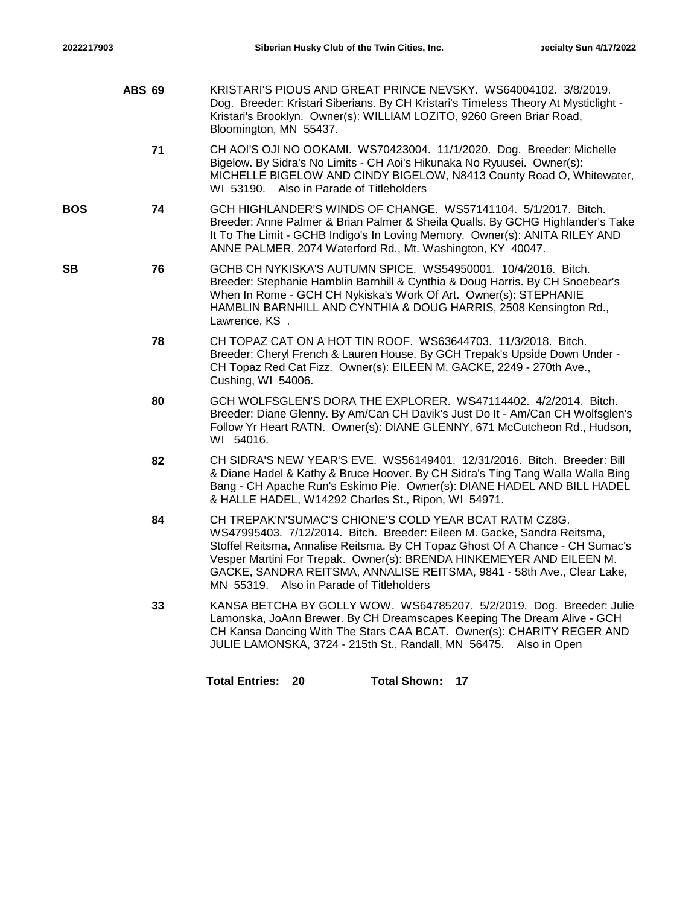|            | <b>ABS 69</b> | KRISTARI'S PIOUS AND GREAT PRINCE NEVSKY. WS64004102. 3/8/2019.<br>Dog. Breeder: Kristari Siberians. By CH Kristari's Timeless Theory At Mysticlight -<br>Kristari's Brooklyn. Owner(s): WILLIAM LOZITO, 9260 Green Briar Road,<br>Bloomington, MN 55437.                                                                                                                                                        |
|------------|---------------|------------------------------------------------------------------------------------------------------------------------------------------------------------------------------------------------------------------------------------------------------------------------------------------------------------------------------------------------------------------------------------------------------------------|
|            | 71            | CH AOI'S OJI NO OOKAMI. WS70423004. 11/1/2020. Dog. Breeder: Michelle<br>Bigelow. By Sidra's No Limits - CH Aoi's Hikunaka No Ryuusei. Owner(s):<br>MICHELLE BIGELOW AND CINDY BIGELOW, N8413 County Road O, Whitewater,<br>WI 53190. Also in Parade of Titleholders                                                                                                                                             |
| <b>BOS</b> | 74            | GCH HIGHLANDER'S WINDS OF CHANGE. WS57141104. 5/1/2017. Bitch.<br>Breeder: Anne Palmer & Brian Palmer & Sheila Qualls. By GCHG Highlander's Take<br>It To The Limit - GCHB Indigo's In Loving Memory. Owner(s): ANITA RILEY AND<br>ANNE PALMER, 2074 Waterford Rd., Mt. Washington, KY 40047.                                                                                                                    |
| <b>SB</b>  | 76            | GCHB CH NYKISKA'S AUTUMN SPICE. WS54950001. 10/4/2016. Bitch.<br>Breeder: Stephanie Hamblin Barnhill & Cynthia & Doug Harris. By CH Snoebear's<br>When In Rome - GCH CH Nykiska's Work Of Art. Owner(s): STEPHANIE<br>HAMBLIN BARNHILL AND CYNTHIA & DOUG HARRIS, 2508 Kensington Rd.,<br>Lawrence, KS.                                                                                                          |
|            | 78            | CH TOPAZ CAT ON A HOT TIN ROOF. WS63644703. 11/3/2018. Bitch.<br>Breeder: Cheryl French & Lauren House. By GCH Trepak's Upside Down Under -<br>CH Topaz Red Cat Fizz. Owner(s): EILEEN M. GACKE, 2249 - 270th Ave.,<br>Cushing, WI 54006.                                                                                                                                                                        |
|            | 80            | GCH WOLFSGLEN'S DORA THE EXPLORER. WS47114402. 4/2/2014. Bitch.<br>Breeder: Diane Glenny. By Am/Can CH Davik's Just Do It - Am/Can CH Wolfsglen's<br>Follow Yr Heart RATN. Owner(s): DIANE GLENNY, 671 McCutcheon Rd., Hudson,<br>WI 54016.                                                                                                                                                                      |
|            | 82            | CH SIDRA'S NEW YEAR'S EVE. WS56149401. 12/31/2016. Bitch. Breeder: Bill<br>& Diane Hadel & Kathy & Bruce Hoover. By CH Sidra's Ting Tang Walla Walla Bing<br>Bang - CH Apache Run's Eskimo Pie. Owner(s): DIANE HADEL AND BILL HADEL<br>& HALLE HADEL, W14292 Charles St., Ripon, WI 54971.                                                                                                                      |
|            | 84            | CH TREPAK'N'SUMAC'S CHIONE'S COLD YEAR BCAT RATM CZ8G.<br>WS47995403. 7/12/2014. Bitch. Breeder: Eileen M. Gacke, Sandra Reitsma,<br>Stoffel Reitsma, Annalise Reitsma. By CH Topaz Ghost Of A Chance - CH Sumac's<br>Vesper Martini For Trepak. Owner(s): BRENDA HINKEMEYER AND EILEEN M.<br>GACKE, SANDRA REITSMA, ANNALISE REITSMA, 9841 - 58th Ave., Clear Lake,<br>MN 55319. Also in Parade of Titleholders |
|            | 33            | KANSA BETCHA BY GOLLY WOW. WS64785207. 5/2/2019. Dog. Breeder: Julie<br>Lamonska, JoAnn Brewer. By CH Dreamscapes Keeping The Dream Alive - GCH<br>CH Kansa Dancing With The Stars CAA BCAT. Owner(s): CHARITY REGER AND<br>JULIE LAMONSKA, 3724 - 215th St., Randall, MN 56475. Also in Open                                                                                                                    |
|            |               | <b>Total Shown:</b><br><b>Total Entries:</b><br>- 20<br>17                                                                                                                                                                                                                                                                                                                                                       |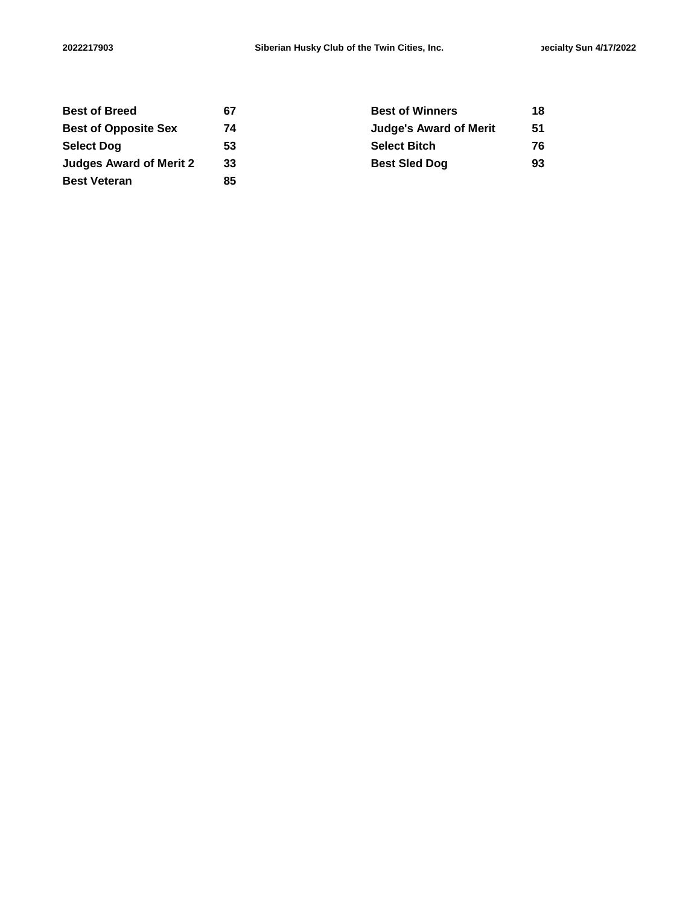| <b>Best of Breed</b>           | 67 | <b>Best of Winners</b>        | 18 |
|--------------------------------|----|-------------------------------|----|
| <b>Best of Opposite Sex</b>    | 74 | <b>Judge's Award of Merit</b> | 51 |
| <b>Select Dog</b>              | 53 | <b>Select Bitch</b>           | 76 |
| <b>Judges Award of Merit 2</b> | 33 | <b>Best Sled Dog</b>          | 93 |
| <b>Best Veteran</b>            | 85 |                               |    |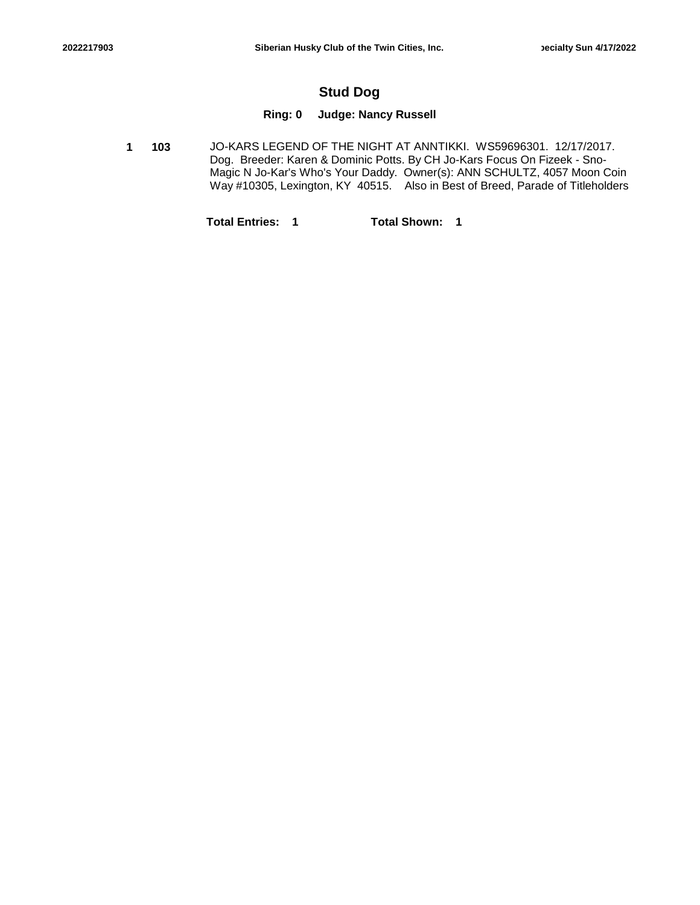## **Stud Dog**

## **Ring: 0 Judge: Nancy Russell**

**103** JO-KARS LEGEND OF THE NIGHT AT ANNTIKKI. WS59696301. 12/17/2017. Dog. Breeder: Karen & Dominic Potts. By CH Jo-Kars Focus On Fizeek - Sno-Magic N Jo-Kar's Who's Your Daddy. Owner(s): ANN SCHULTZ, 4057 Moon Coin Way #10305, Lexington, KY 40515. Also in Best of Breed, Parade of Titleholders **1**

**Total Entries: 1 Total Shown: 1**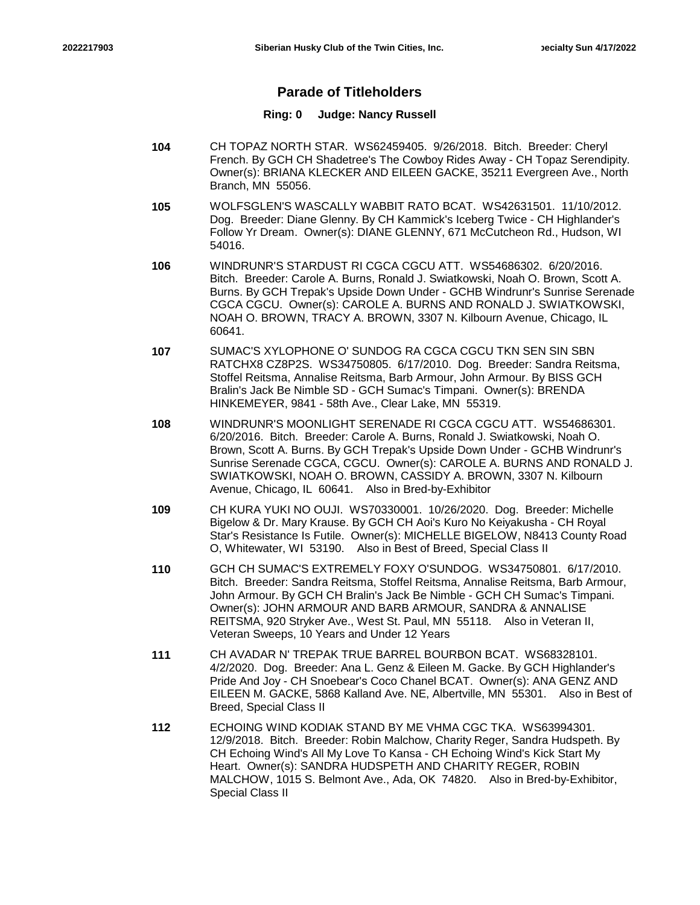## **Parade of Titleholders**

- **104** CH TOPAZ NORTH STAR. WS62459405. 9/26/2018. Bitch. Breeder: Cheryl French. By GCH CH Shadetree's The Cowboy Rides Away - CH Topaz Serendipity. Owner(s): BRIANA KLECKER AND EILEEN GACKE, 35211 Evergreen Ave., North Branch, MN 55056.
- **105** WOLFSGLEN'S WASCALLY WABBIT RATO BCAT. WS42631501. 11/10/2012. Dog. Breeder: Diane Glenny. By CH Kammick's Iceberg Twice - CH Highlander's Follow Yr Dream. Owner(s): DIANE GLENNY, 671 McCutcheon Rd., Hudson, WI 54016.
- **106** WINDRUNR'S STARDUST RI CGCA CGCU ATT. WS54686302. 6/20/2016. Bitch. Breeder: Carole A. Burns, Ronald J. Swiatkowski, Noah O. Brown, Scott A. Burns. By GCH Trepak's Upside Down Under - GCHB Windrunr's Sunrise Serenade CGCA CGCU. Owner(s): CAROLE A. BURNS AND RONALD J. SWIATKOWSKI, NOAH O. BROWN, TRACY A. BROWN, 3307 N. Kilbourn Avenue, Chicago, IL 60641.
- **107** SUMAC'S XYLOPHONE O' SUNDOG RA CGCA CGCU TKN SEN SIN SBN RATCHX8 CZ8P2S. WS34750805. 6/17/2010. Dog. Breeder: Sandra Reitsma, Stoffel Reitsma, Annalise Reitsma, Barb Armour, John Armour. By BISS GCH Bralin's Jack Be Nimble SD - GCH Sumac's Timpani. Owner(s): BRENDA HINKEMEYER, 9841 - 58th Ave., Clear Lake, MN 55319.
- **108** WINDRUNR'S MOONLIGHT SERENADE RI CGCA CGCU ATT. WS54686301. 6/20/2016. Bitch. Breeder: Carole A. Burns, Ronald J. Swiatkowski, Noah O. Brown, Scott A. Burns. By GCH Trepak's Upside Down Under - GCHB Windrunr's Sunrise Serenade CGCA, CGCU. Owner(s): CAROLE A. BURNS AND RONALD J. SWIATKOWSKI, NOAH O. BROWN, CASSIDY A. BROWN, 3307 N. Kilbourn Avenue, Chicago, IL 60641. Also in Bred-by-Exhibitor
- **109** CH KURA YUKI NO OUJI. WS70330001. 10/26/2020. Dog. Breeder: Michelle Bigelow & Dr. Mary Krause. By GCH CH Aoi's Kuro No Keiyakusha - CH Royal Star's Resistance Is Futile. Owner(s): MICHELLE BIGELOW, N8413 County Road O, Whitewater, WI 53190. Also in Best of Breed, Special Class II
- **110** GCH CH SUMAC'S EXTREMELY FOXY O'SUNDOG. WS34750801. 6/17/2010. Bitch. Breeder: Sandra Reitsma, Stoffel Reitsma, Annalise Reitsma, Barb Armour, John Armour. By GCH CH Bralin's Jack Be Nimble - GCH CH Sumac's Timpani. Owner(s): JOHN ARMOUR AND BARB ARMOUR, SANDRA & ANNALISE REITSMA, 920 Stryker Ave., West St. Paul, MN 55118. Also in Veteran II, Veteran Sweeps, 10 Years and Under 12 Years
- **111** CH AVADAR N' TREPAK TRUE BARREL BOURBON BCAT. WS68328101. 4/2/2020. Dog. Breeder: Ana L. Genz & Eileen M. Gacke. By GCH Highlander's Pride And Joy - CH Snoebear's Coco Chanel BCAT. Owner(s): ANA GENZ AND EILEEN M. GACKE, 5868 Kalland Ave. NE, Albertville, MN 55301. Also in Best of Breed, Special Class II
- **112** ECHOING WIND KODIAK STAND BY ME VHMA CGC TKA. WS63994301. 12/9/2018. Bitch. Breeder: Robin Malchow, Charity Reger, Sandra Hudspeth. By CH Echoing Wind's All My Love To Kansa - CH Echoing Wind's Kick Start My Heart. Owner(s): SANDRA HUDSPETH AND CHARITY REGER, ROBIN MALCHOW, 1015 S. Belmont Ave., Ada, OK 74820. Also in Bred-by-Exhibitor, Special Class II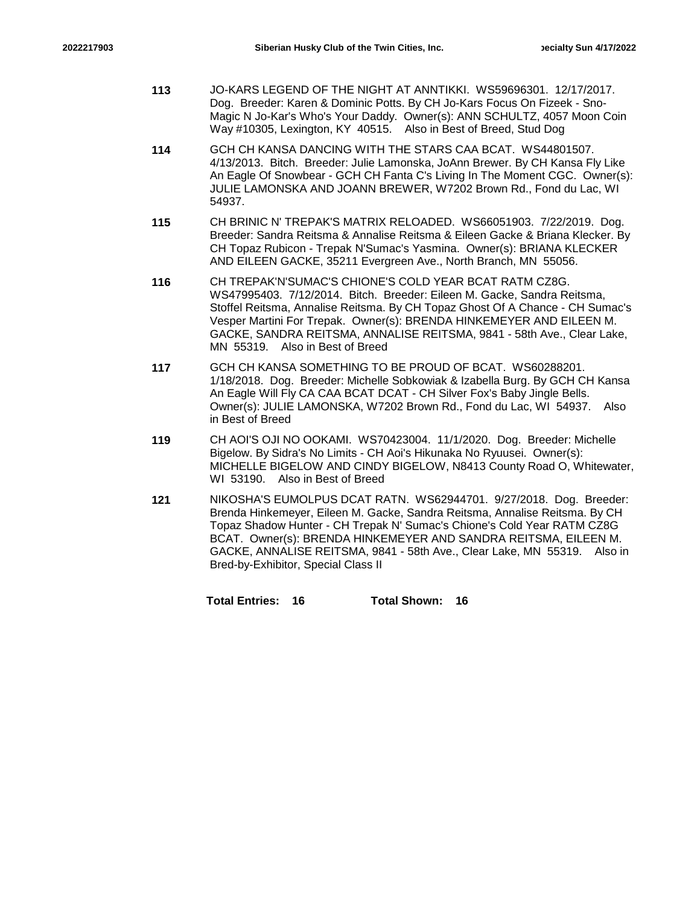- **113** JO-KARS LEGEND OF THE NIGHT AT ANNTIKKI. WS59696301. 12/17/2017. Dog. Breeder: Karen & Dominic Potts. By CH Jo-Kars Focus On Fizeek - Sno-Magic N Jo-Kar's Who's Your Daddy. Owner(s): ANN SCHULTZ, 4057 Moon Coin Way #10305, Lexington, KY 40515. Also in Best of Breed, Stud Dog
- **114** GCH CH KANSA DANCING WITH THE STARS CAA BCAT. WS44801507. 4/13/2013. Bitch. Breeder: Julie Lamonska, JoAnn Brewer. By CH Kansa Fly Like An Eagle Of Snowbear - GCH CH Fanta C's Living In The Moment CGC. Owner(s): JULIE LAMONSKA AND JOANN BREWER, W7202 Brown Rd., Fond du Lac, WI 54937.
- **115** CH BRINIC N' TREPAK'S MATRIX RELOADED. WS66051903. 7/22/2019. Dog. Breeder: Sandra Reitsma & Annalise Reitsma & Eileen Gacke & Briana Klecker. By CH Topaz Rubicon - Trepak N'Sumac's Yasmina. Owner(s): BRIANA KLECKER AND EILEEN GACKE, 35211 Evergreen Ave., North Branch, MN 55056.
- **116** CH TREPAK'N'SUMAC'S CHIONE'S COLD YEAR BCAT RATM CZ8G. WS47995403. 7/12/2014. Bitch. Breeder: Eileen M. Gacke, Sandra Reitsma, Stoffel Reitsma, Annalise Reitsma. By CH Topaz Ghost Of A Chance - CH Sumac's Vesper Martini For Trepak. Owner(s): BRENDA HINKEMEYER AND EILEEN M. GACKE, SANDRA REITSMA, ANNALISE REITSMA, 9841 - 58th Ave., Clear Lake, MN 55319. Also in Best of Breed
- **117** GCH CH KANSA SOMETHING TO BE PROUD OF BCAT. WS60288201. 1/18/2018. Dog. Breeder: Michelle Sobkowiak & Izabella Burg. By GCH CH Kansa An Eagle Will Fly CA CAA BCAT DCAT - CH Silver Fox's Baby Jingle Bells. Owner(s): JULIE LAMONSKA, W7202 Brown Rd., Fond du Lac, WI 54937. Also in Best of Breed
- **119** CH AOI'S OJI NO OOKAMI. WS70423004. 11/1/2020. Dog. Breeder: Michelle Bigelow. By Sidra's No Limits - CH Aoi's Hikunaka No Ryuusei. Owner(s): MICHELLE BIGELOW AND CINDY BIGELOW, N8413 County Road O, Whitewater, WI 53190. Also in Best of Breed
- **121** NIKOSHA'S EUMOLPUS DCAT RATN. WS62944701. 9/27/2018. Dog. Breeder: Brenda Hinkemeyer, Eileen M. Gacke, Sandra Reitsma, Annalise Reitsma. By CH Topaz Shadow Hunter - CH Trepak N' Sumac's Chione's Cold Year RATM CZ8G BCAT. Owner(s): BRENDA HINKEMEYER AND SANDRA REITSMA, EILEEN M. GACKE, ANNALISE REITSMA, 9841 - 58th Ave., Clear Lake, MN 55319. Also in Bred-by-Exhibitor, Special Class II

**Total Entries: 16 Total Shown: 16**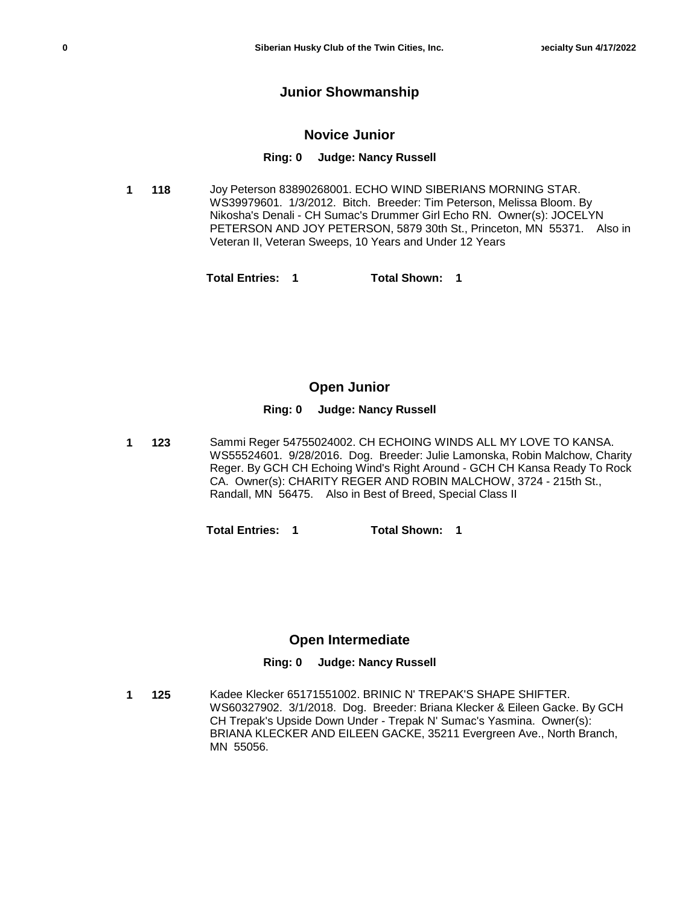### **Junior Showmanship**

#### **Novice Junior**

#### **Ring: 0 Judge: Nancy Russell**

**118** Joy Peterson 83890268001. ECHO WIND SIBERIANS MORNING STAR. WS39979601. 1/3/2012. Bitch. Breeder: Tim Peterson, Melissa Bloom. By Nikosha's Denali - CH Sumac's Drummer Girl Echo RN. Owner(s): JOCELYN PETERSON AND JOY PETERSON, 5879 30th St., Princeton, MN 55371. Also in Veteran II, Veteran Sweeps, 10 Years and Under 12 Years **1**

**Total Entries: 1 Total Shown: 1**

#### **Open Junior**

#### **Ring: 0 Judge: Nancy Russell**

**123** Sammi Reger 54755024002. CH ECHOING WINDS ALL MY LOVE TO KANSA. WS55524601. 9/28/2016. Dog. Breeder: Julie Lamonska, Robin Malchow, Charity Reger. By GCH CH Echoing Wind's Right Around - GCH CH Kansa Ready To Rock CA. Owner(s): CHARITY REGER AND ROBIN MALCHOW, 3724 - 215th St., Randall, MN 56475. Also in Best of Breed, Special Class II **1**

**Total Entries: 1 Total Shown: 1**

### **Open Intermediate**

### **Ring: 0 Judge: Nancy Russell**

**125** Kadee Klecker 65171551002. BRINIC N' TREPAK'S SHAPE SHIFTER. WS60327902. 3/1/2018. Dog. Breeder: Briana Klecker & Eileen Gacke. By GCH CH Trepak's Upside Down Under - Trepak N' Sumac's Yasmina. Owner(s): BRIANA KLECKER AND EILEEN GACKE, 35211 Evergreen Ave., North Branch, MN 55056. **1**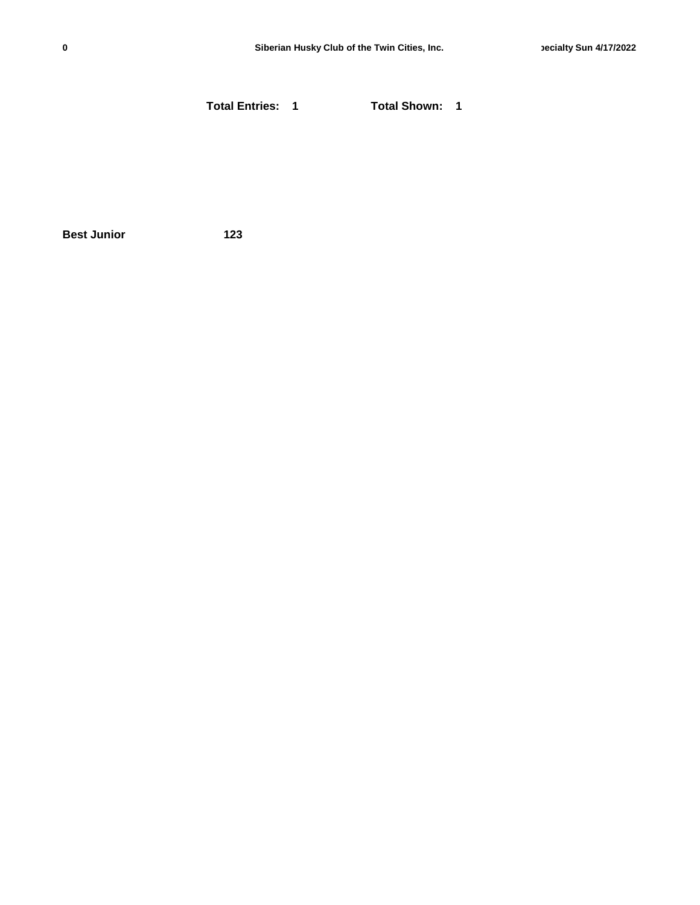**Total Entries: 1 Total Shown: 1**

**Best Junior 123**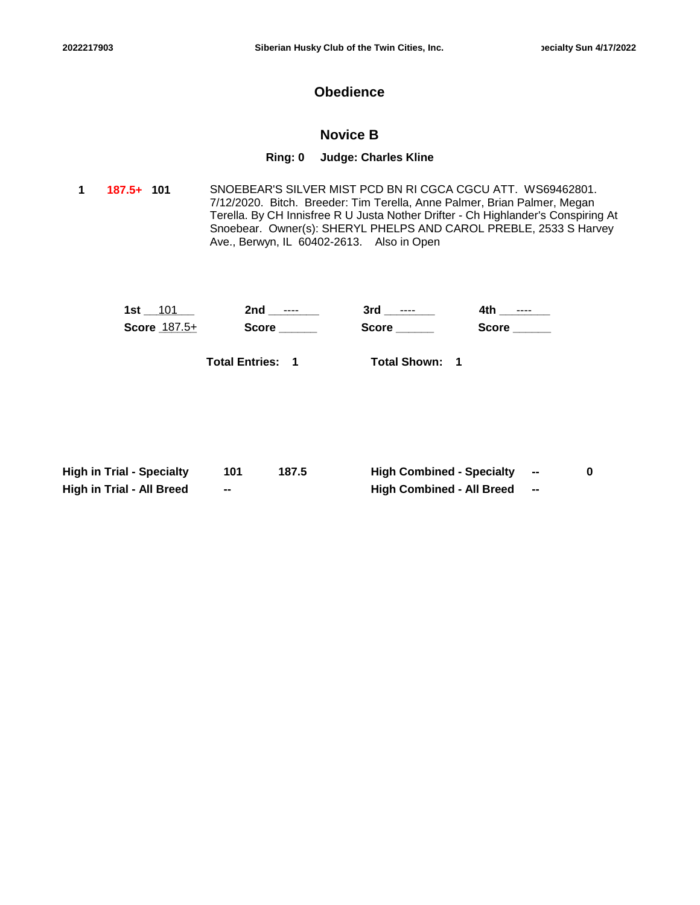## **Obedience**

## **Novice B**

#### **Ring: 0 Judge: Charles Kline**

**101** SNOEBEAR'S SILVER MIST PCD BN RI CGCA CGCU ATT. WS69462801. 7/12/2020. Bitch. Breeder: Tim Terella, Anne Palmer, Brian Palmer, Megan Terella. By CH Innisfree R U Justa Nother Drifter - Ch Highlander's Conspiring At Snoebear. Owner(s): SHERYL PHELPS AND CAROL PREBLE, 2533 S Harvey Ave., Berwyn, IL 60402-2613. Also in Open **1 187.5+**

| 1st<br>101          | 2nd<br>$- - - -$ | 3rd<br>$- - - -$ | 4t k<br>$- - - -$ |
|---------------------|------------------|------------------|-------------------|
| <b>Score 187.5+</b> | <b>Score</b>     | <b>Score</b>     | <b>Score</b>      |
|                     |                  |                  |                   |

**Total Entries: 1**

**Total Shown: 1**

| <b>High in Trial - Specialty</b> |    | 187.5 | <b>High Combined - Specialty</b> | $\blacksquare$           |  |
|----------------------------------|----|-------|----------------------------------|--------------------------|--|
| <b>High in Trial - All Breed</b> | -- |       | <b>High Combined - All Breed</b> | $\overline{\phantom{a}}$ |  |